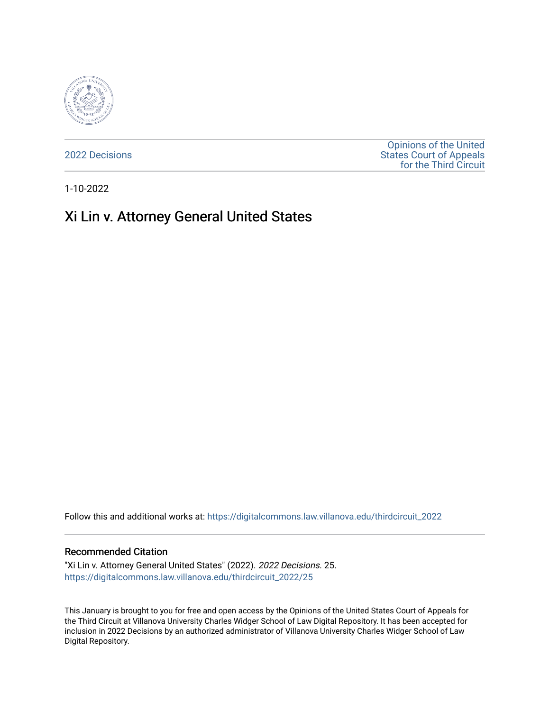

[2022 Decisions](https://digitalcommons.law.villanova.edu/thirdcircuit_2022)

[Opinions of the United](https://digitalcommons.law.villanova.edu/thirdcircuit)  [States Court of Appeals](https://digitalcommons.law.villanova.edu/thirdcircuit)  [for the Third Circuit](https://digitalcommons.law.villanova.edu/thirdcircuit) 

1-10-2022

# Xi Lin v. Attorney General United States

Follow this and additional works at: [https://digitalcommons.law.villanova.edu/thirdcircuit\\_2022](https://digitalcommons.law.villanova.edu/thirdcircuit_2022?utm_source=digitalcommons.law.villanova.edu%2Fthirdcircuit_2022%2F25&utm_medium=PDF&utm_campaign=PDFCoverPages) 

#### Recommended Citation

"Xi Lin v. Attorney General United States" (2022). 2022 Decisions. 25. [https://digitalcommons.law.villanova.edu/thirdcircuit\\_2022/25](https://digitalcommons.law.villanova.edu/thirdcircuit_2022/25?utm_source=digitalcommons.law.villanova.edu%2Fthirdcircuit_2022%2F25&utm_medium=PDF&utm_campaign=PDFCoverPages)

This January is brought to you for free and open access by the Opinions of the United States Court of Appeals for the Third Circuit at Villanova University Charles Widger School of Law Digital Repository. It has been accepted for inclusion in 2022 Decisions by an authorized administrator of Villanova University Charles Widger School of Law Digital Repository.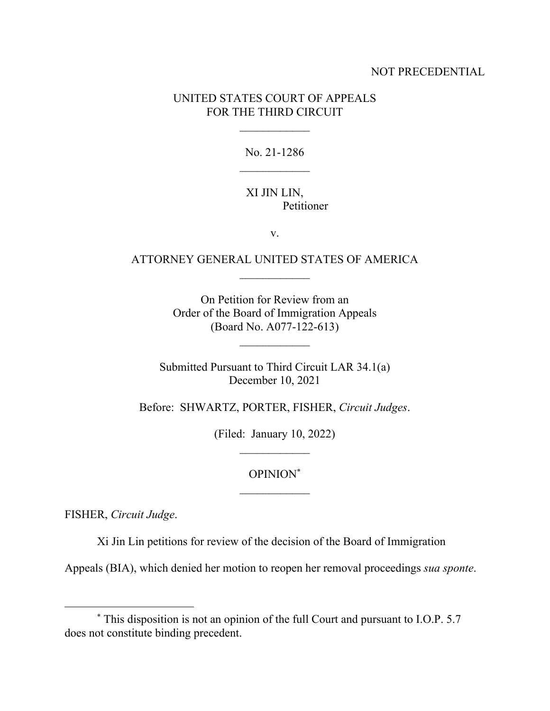### NOT PRECEDENTIAL

### UNITED STATES COURT OF APPEALS FOR THE THIRD CIRCUIT

No. 21-1286

#### XI JIN LIN, Petitioner

v.

## ATTORNEY GENERAL UNITED STATES OF AMERICA  $\frac{1}{2}$

On Petition for Review from an Order of the Board of Immigration Appeals (Board No. A077-122-613)

Submitted Pursuant to Third Circuit LAR 34.1(a) December 10, 2021

Before: SHWARTZ, PORTER, FISHER, *Circuit Judges*.

(Filed: January 10, 2022)  $\mathcal{L}_\text{max}$ 

OPINION\*

FISHER, *Circuit Judge*.

Xi Jin Lin petitions for review of the decision of the Board of Immigration

Appeals (BIA), which denied her motion to reopen her removal proceedings *sua sponte*.

<sup>\*</sup> This disposition is not an opinion of the full Court and pursuant to I.O.P. 5.7 does not constitute binding precedent.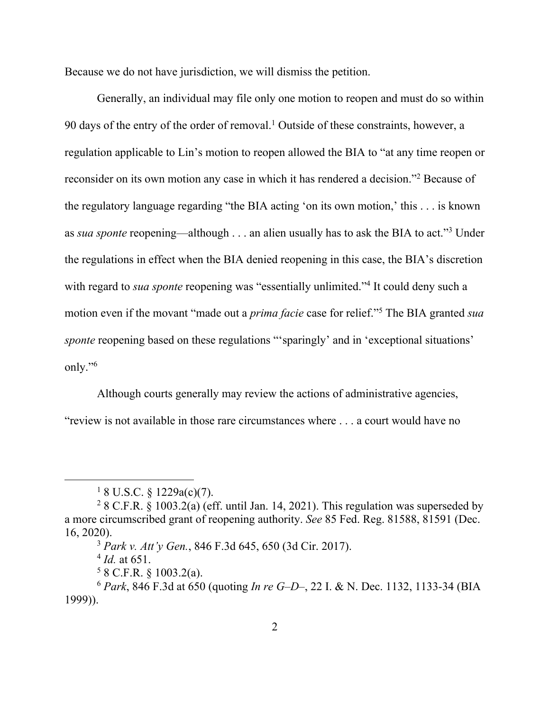Because we do not have jurisdiction, we will dismiss the petition.

Generally, an individual may file only one motion to reopen and must do so within  $90$  days of the entry of the order of removal.<sup>1</sup> Outside of these constraints, however, a regulation applicable to Lin's motion to reopen allowed the BIA to "at any time reopen or reconsider on its own motion any case in which it has rendered a decision."<sup>2</sup> Because of the regulatory language regarding "the BIA acting 'on its own motion,' this . . . is known as *sua sponte* reopening—although . . . an alien usually has to ask the BIA to act."3 Under the regulations in effect when the BIA denied reopening in this case, the BIA's discretion with regard to *sua sponte* reopening was "essentially unlimited."<sup>4</sup> It could deny such a motion even if the movant "made out a *prima facie* case for relief."5 The BIA granted *sua sponte* reopening based on these regulations "'sparingly' and in 'exceptional situations' only."6

Although courts generally may review the actions of administrative agencies,

"review is not available in those rare circumstances where . . . a court would have no

<sup>3</sup> *Park v. Att'y Gen.*, 846 F.3d 645, 650 (3d Cir. 2017).

<sup>4</sup> *Id.* at 651.

 $58$  C.F.R. § 1003.2(a).

 $18$  U.S.C. § 1229a(c)(7).

 $28$  C.F.R. § 1003.2(a) (eff. until Jan. 14, 2021). This regulation was superseded by a more circumscribed grant of reopening authority. *See* 85 Fed. Reg. 81588, 81591 (Dec. 16, 2020).

<sup>6</sup> *Park*, 846 F.3d at 650 (quoting *In re G–D–*, 22 I. & N. Dec. 1132, 1133-34 (BIA 1999)).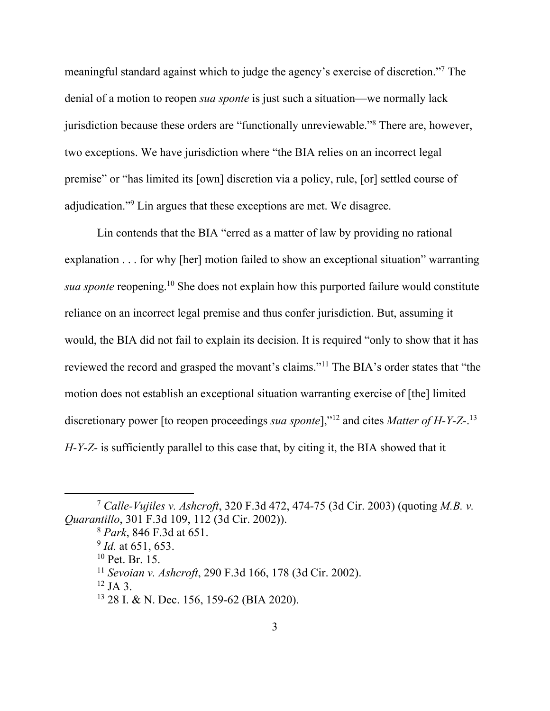meaningful standard against which to judge the agency's exercise of discretion."7 The denial of a motion to reopen *sua sponte* is just such a situation—we normally lack jurisdiction because these orders are "functionally unreviewable."<sup>8</sup> There are, however, two exceptions. We have jurisdiction where "the BIA relies on an incorrect legal premise" or "has limited its [own] discretion via a policy, rule, [or] settled course of adjudication."<sup>9</sup> Lin argues that these exceptions are met. We disagree.

Lin contends that the BIA "erred as a matter of law by providing no rational explanation . . . for why [her] motion failed to show an exceptional situation" warranting *sua sponte* reopening.10 She does not explain how this purported failure would constitute reliance on an incorrect legal premise and thus confer jurisdiction. But, assuming it would, the BIA did not fail to explain its decision. It is required "only to show that it has reviewed the record and grasped the movant's claims."11 The BIA's order states that "the motion does not establish an exceptional situation warranting exercise of [the] limited discretionary power [to reopen proceedings *sua sponte*],"12 and cites *Matter of H-Y-Z-*. 13 *H-Y-Z-* is sufficiently parallel to this case that, by citing it, the BIA showed that it

<sup>7</sup> *Calle-Vujiles v. Ashcroft*, 320 F.3d 472, 474-75 (3d Cir. 2003) (quoting *M.B. v. Quarantillo*, 301 F.3d 109, 112 (3d Cir. 2002)).

<sup>8</sup> *Park*, 846 F.3d at 651.

<sup>9</sup> *Id.* at 651, 653.

<sup>10</sup> Pet. Br. 15.

<sup>11</sup> *Sevoian v. Ashcroft*, 290 F.3d 166, 178 (3d Cir. 2002).

 $12$  JA 3.

<sup>13 28</sup> I. & N. Dec. 156, 159-62 (BIA 2020).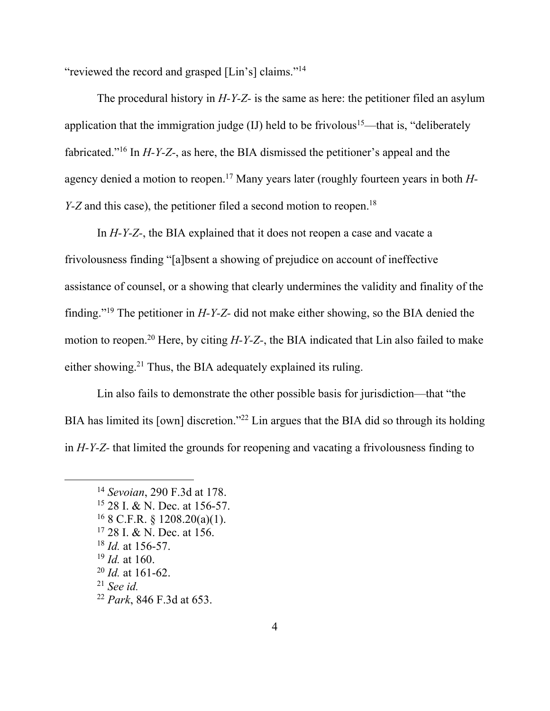"reviewed the record and grasped [Lin's] claims."14

The procedural history in *H-Y-Z-* is the same as here: the petitioner filed an asylum application that the immigration judge  $(II)$  held to be frivolous<sup>15</sup>—that is, "deliberately" fabricated."16 In *H-Y-Z-*, as here, the BIA dismissed the petitioner's appeal and the agency denied a motion to reopen.17 Many years later (roughly fourteen years in both *H-Y-Z* and this case), the petitioner filed a second motion to reopen.<sup>18</sup>

In *H-Y-Z-*, the BIA explained that it does not reopen a case and vacate a frivolousness finding "[a]bsent a showing of prejudice on account of ineffective assistance of counsel, or a showing that clearly undermines the validity and finality of the finding."19 The petitioner in *H-Y-Z-* did not make either showing, so the BIA denied the motion to reopen.20 Here, by citing *H-Y-Z-*, the BIA indicated that Lin also failed to make either showing.<sup>21</sup> Thus, the BIA adequately explained its ruling.

Lin also fails to demonstrate the other possible basis for jurisdiction—that "the BIA has limited its [own] discretion."<sup>22</sup> Lin argues that the BIA did so through its holding in *H-Y-Z-* that limited the grounds for reopening and vacating a frivolousness finding to

- 15 28 I. & N. Dec. at 156-57.
- $16$  8 C.F.R. § 1208.20(a)(1).
- <sup>17</sup> 28 I. & N. Dec. at 156.
- <sup>18</sup> *Id.* at 156-57.
- <sup>19</sup> *Id.* at 160.
- <sup>20</sup> *Id.* at 161-62.
- <sup>21</sup> *See id.*
- <sup>22</sup> *Park*, 846 F.3d at 653.

<sup>14</sup> *Sevoian*, 290 F.3d at 178.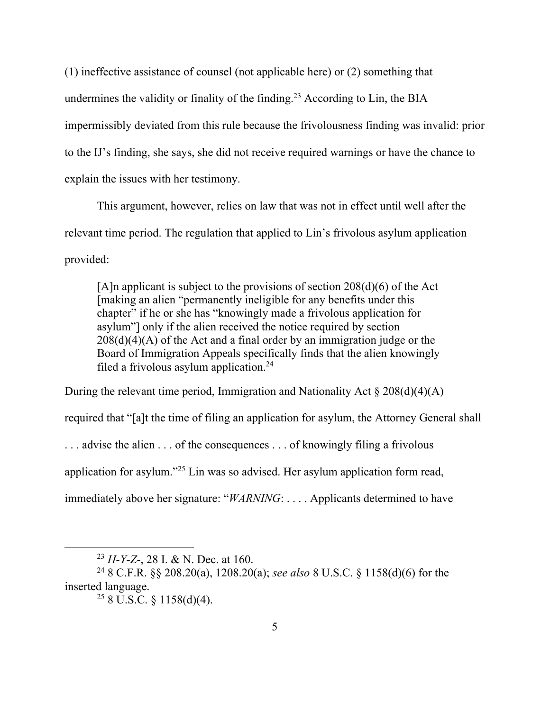(1) ineffective assistance of counsel (not applicable here) or (2) something that undermines the validity or finality of the finding.<sup>23</sup> According to Lin, the BIA impermissibly deviated from this rule because the frivolousness finding was invalid: prior to the IJ's finding, she says, she did not receive required warnings or have the chance to explain the issues with her testimony.

This argument, however, relies on law that was not in effect until well after the relevant time period. The regulation that applied to Lin's frivolous asylum application provided:

[A]n applicant is subject to the provisions of section  $208(d)(6)$  of the Act [making an alien "permanently ineligible for any benefits under this chapter" if he or she has "knowingly made a frivolous application for asylum"] only if the alien received the notice required by section  $208(d)(4)(A)$  of the Act and a final order by an immigration judge or the Board of Immigration Appeals specifically finds that the alien knowingly filed a frivolous asylum application.<sup>24</sup>

During the relevant time period, Immigration and Nationality Act  $\S 208(d)(4)(A)$ required that "[a]t the time of filing an application for asylum, the Attorney General shall ... advise the alien ... of the consequences ... of knowingly filing a frivolous application for asylum."25 Lin was so advised. Her asylum application form read, immediately above her signature: "*WARNING*: . . . . Applicants determined to have

<sup>23</sup> *H-Y-Z-*, 28 I. & N. Dec. at 160.

<sup>24 8</sup> C.F.R. §§ 208.20(a), 1208.20(a); *see also* 8 U.S.C. § 1158(d)(6) for the inserted language.

 $258 \text{ U.S.C.} 81158 \text{ (d)}(4)$ .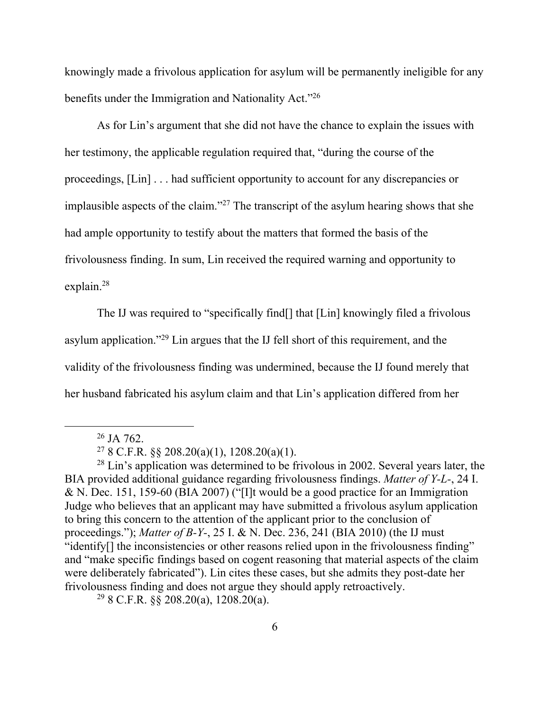knowingly made a frivolous application for asylum will be permanently ineligible for any benefits under the Immigration and Nationality Act."26

As for Lin's argument that she did not have the chance to explain the issues with her testimony, the applicable regulation required that, "during the course of the proceedings, [Lin] . . . had sufficient opportunity to account for any discrepancies or implausible aspects of the claim."27 The transcript of the asylum hearing shows that she had ample opportunity to testify about the matters that formed the basis of the frivolousness finding. In sum, Lin received the required warning and opportunity to explain.28

The IJ was required to "specifically find[] that [Lin] knowingly filed a frivolous asylum application."29 Lin argues that the IJ fell short of this requirement, and the validity of the frivolousness finding was undermined, because the IJ found merely that her husband fabricated his asylum claim and that Lin's application differed from her

 $298$  C.F.R.  $\S 208.20(a)$ , 1208.20(a).

 $26$  JA 762.

<sup>&</sup>lt;sup>27</sup> 8 C.F.R.  $\S$  208.20(a)(1), 1208.20(a)(1).

 $28 \text{ Lin's application was determined to be frivolous in } 2002$ . Several years later, the BIA provided additional guidance regarding frivolousness findings. *Matter of Y-L-*, 24 I. & N. Dec. 151, 159-60 (BIA 2007) ("[I]t would be a good practice for an Immigration Judge who believes that an applicant may have submitted a frivolous asylum application to bring this concern to the attention of the applicant prior to the conclusion of proceedings."); *Matter of B-Y-*, 25 I. & N. Dec. 236, 241 (BIA 2010) (the IJ must "identify[] the inconsistencies or other reasons relied upon in the frivolousness finding" and "make specific findings based on cogent reasoning that material aspects of the claim were deliberately fabricated"). Lin cites these cases, but she admits they post-date her frivolousness finding and does not argue they should apply retroactively.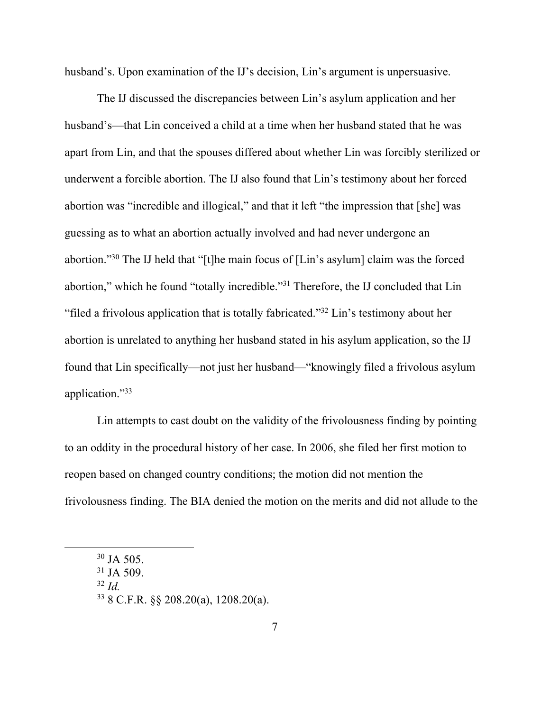husband's. Upon examination of the IJ's decision, Lin's argument is unpersuasive.

The IJ discussed the discrepancies between Lin's asylum application and her husband's—that Lin conceived a child at a time when her husband stated that he was apart from Lin, and that the spouses differed about whether Lin was forcibly sterilized or underwent a forcible abortion. The IJ also found that Lin's testimony about her forced abortion was "incredible and illogical," and that it left "the impression that [she] was guessing as to what an abortion actually involved and had never undergone an abortion."30 The IJ held that "[t]he main focus of [Lin's asylum] claim was the forced abortion," which he found "totally incredible."31 Therefore, the IJ concluded that Lin "filed a frivolous application that is totally fabricated."32 Lin's testimony about her abortion is unrelated to anything her husband stated in his asylum application, so the IJ found that Lin specifically—not just her husband—"knowingly filed a frivolous asylum application."33

Lin attempts to cast doubt on the validity of the frivolousness finding by pointing to an oddity in the procedural history of her case. In 2006, she filed her first motion to reopen based on changed country conditions; the motion did not mention the frivolousness finding. The BIA denied the motion on the merits and did not allude to the

 $32$  *Id*.

 $30$  JA 505.

 $31$  JA 509.

<sup>33 8</sup> C.F.R. §§ 208.20(a), 1208.20(a).